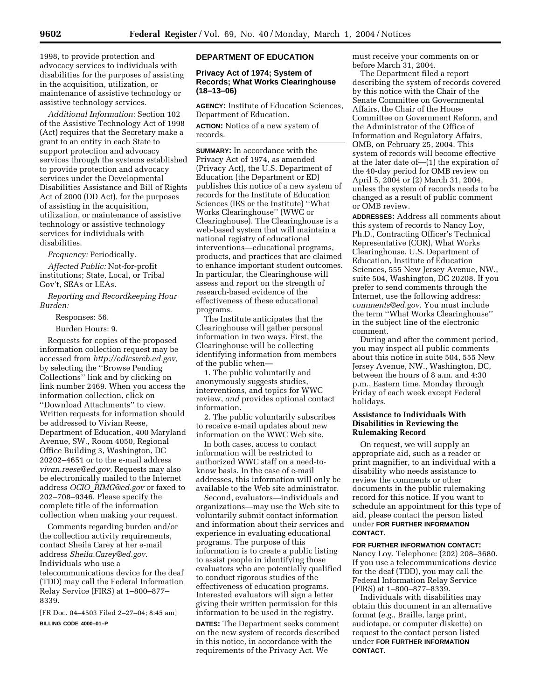1998, to provide protection and advocacy services to individuals with disabilities for the purposes of assisting in the acquisition, utilization, or maintenance of assistive technology or assistive technology services.

*Additional Information:* Section 102 of the Assistive Technology Act of 1998 (Act) requires that the Secretary make a grant to an entity in each State to support protection and advocacy services through the systems established to provide protection and advocacy services under the Developmental Disabilities Assistance and Bill of Rights Act of 2000 (DD Act), for the purposes of assisting in the acquisition, utilization, or maintenance of assistive technology or assistive technology services for individuals with disabilities.

*Frequency:* Periodically.

*Affected Public:* Not-for-profit institutions; State, Local, or Tribal Gov't, SEAs or LEAs.

*Reporting and Recordkeeping Hour Burden:* 

### Responses: 56.

Burden Hours: 9.

Requests for copies of the proposed information collection request may be accessed from *http://edicsweb.ed.gov,*  by selecting the ''Browse Pending Collections'' link and by clicking on link number 2469. When you access the information collection, click on ''Download Attachments'' to view. Written requests for information should be addressed to Vivian Reese, Department of Education, 400 Maryland Avenue, SW., Room 4050, Regional Office Building 3, Washington, DC 20202–4651 or to the e-mail address *vivan.reese@ed.gov.* Requests may also be electronically mailed to the Internet address *OCIO*\_*RIMG@ed.gov* or faxed to 202–708–9346. Please specify the complete title of the information collection when making your request.

Comments regarding burden and/or the collection activity requirements, contact Sheila Carey at her e-mail address *Sheila.Carey@ed.gov.*  Individuals who use a telecommunications device for the deaf (TDD) may call the Federal Information Relay Service (FIRS) at 1–800–877– 8339.

[FR Doc. 04–4503 Filed 2–27–04; 8:45 am] **BILLING CODE 4000–01–P** 

## **DEPARTMENT OF EDUCATION**

## **Privacy Act of 1974; System of Records; What Works Clearinghouse (18–13–06)**

**AGENCY:** Institute of Education Sciences, Department of Education.

**ACTION:** Notice of a new system of records.

**SUMMARY:** In accordance with the Privacy Act of 1974, as amended (Privacy Act), the U.S. Department of Education (the Department or ED) publishes this notice of a new system of records for the Institute of Education Sciences (IES or the Institute) ''What Works Clearinghouse'' (WWC or Clearinghouse). The Clearinghouse is a web-based system that will maintain a national registry of educational interventions—educational programs, products, and practices that are claimed to enhance important student outcomes. In particular, the Clearinghouse will assess and report on the strength of research-based evidence of the effectiveness of these educational programs.

The Institute anticipates that the Clearinghouse will gather personal information in two ways. First, the Clearinghouse will be collecting identifying information from members of the public when—

1. The public voluntarily and anonymously suggests studies, interventions, and topics for WWC review, *and* provides optional contact information.

2. The public voluntarily subscribes to receive e-mail updates about new information on the WWC Web site.

In both cases, access to contact information will be restricted to authorized WWC staff on a need-toknow basis. In the case of e-mail addresses, this information will only be available to the Web site administrator.

Second, evaluators—individuals and organizations—may use the Web site to voluntarily submit contact information and information about their services and experience in evaluating educational programs. The purpose of this information is to create a public listing to assist people in identifying those evaluators who are potentially qualified to conduct rigorous studies of the effectiveness of education programs. Interested evaluators will sign a letter giving their written permission for this information to be used in the registry.

**DATES:** The Department seeks comment on the new system of records described in this notice, in accordance with the requirements of the Privacy Act. We

must receive your comments on or before March 31, 2004.

The Department filed a report describing the system of records covered by this notice with the Chair of the Senate Committee on Governmental Affairs, the Chair of the House Committee on Government Reform, and the Administrator of the Office of Information and Regulatory Affairs, OMB, on February 25, 2004. This system of records will become effective at the later date of—(1) the expiration of the 40-day period for OMB review on April 5, 2004 or (2) March 31, 2004, unless the system of records needs to be changed as a result of public comment or OMB review.

**ADDRESSES:** Address all comments about this system of records to Nancy Loy, Ph.D., Contracting Officer's Technical Representative (COR), What Works Clearinghouse, U.S. Department of Education, Institute of Education Sciences, 555 New Jersey Avenue, NW., suite 504, Washington, DC 20208. If you prefer to send comments through the Internet, use the following address: *comments@ed.gov*. You must include the term ''What Works Clearinghouse'' in the subject line of the electronic comment.

During and after the comment period, you may inspect all public comments about this notice in suite 504, 555 New Jersey Avenue, NW., Washington, DC, between the hours of 8 a.m. and 4:30 p.m., Eastern time, Monday through Friday of each week except Federal holidays.

# **Assistance to Individuals With Disabilities in Reviewing the Rulemaking Record**

On request, we will supply an appropriate aid, such as a reader or print magnifier, to an individual with a disability who needs assistance to review the comments or other documents in the public rulemaking record for this notice. If you want to schedule an appointment for this type of aid, please contact the person listed under **FOR FURTHER INFORMATION CONTACT**.

## **FOR FURTHER INFORMATION CONTACT:**

Nancy Loy. Telephone: (202) 208–3680. If you use a telecommunications device for the deaf (TDD), you may call the Federal Information Relay Service (FIRS) at 1–800–877–8339.

Individuals with disabilities may obtain this document in an alternative format (*e.g.*, Braille, large print, audiotape, or computer diskette) on request to the contact person listed under **FOR FURTHER INFORMATION CONTACT**.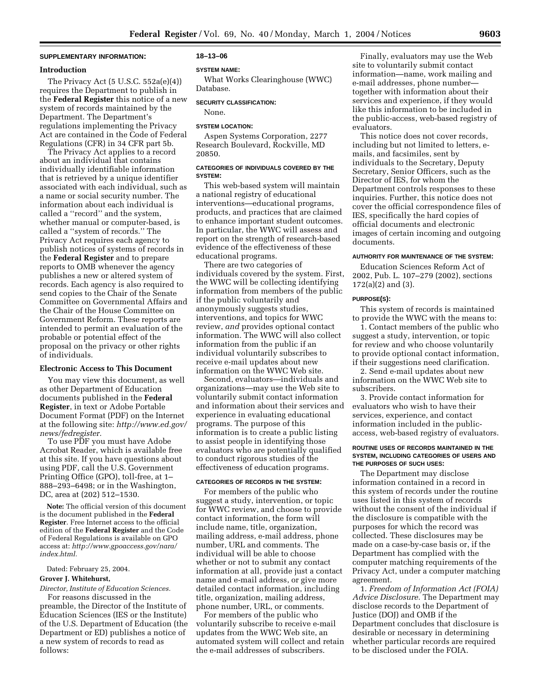# **SUPPLEMENTARY INFORMATION:**

# **Introduction**

The Privacy Act  $(5 \text{ U.S.C. } 552a(e)(4))$ requires the Department to publish in the **Federal Register** this notice of a new system of records maintained by the Department. The Department's regulations implementing the Privacy Act are contained in the Code of Federal Regulations (CFR) in 34 CFR part 5b.

The Privacy Act applies to a record about an individual that contains individually identifiable information that is retrieved by a unique identifier associated with each individual, such as a name or social security number. The information about each individual is called a ''record'' and the system, whether manual or computer-based, is called a ''system of records.'' The Privacy Act requires each agency to publish notices of systems of records in the **Federal Register** and to prepare reports to OMB whenever the agency publishes a new or altered system of records. Each agency is also required to send copies to the Chair of the Senate Committee on Governmental Affairs and the Chair of the House Committee on Government Reform. These reports are intended to permit an evaluation of the probable or potential effect of the proposal on the privacy or other rights of individuals.

## **Electronic Access to This Document**

You may view this document, as well as other Department of Education documents published in the **Federal Register**, in text or Adobe Portable Document Format (PDF) on the Internet at the following site: *http://www.ed.gov/ news/fedregister.* 

To use PDF you must have Adobe Acrobat Reader, which is available free at this site. If you have questions about using PDF, call the U.S. Government Printing Office (GPO), toll-free, at 1– 888–293–6498; or in the Washington, DC, area at (202) 512–1530.

**Note:** The official version of this document is the document published in the **Federal Register**. Free Internet access to the official edition of the **Federal Register** and the Code of Federal Regulations is available on GPO access at: *http://www.gpoaccess.gov/nara/ index.html.* 

### Dated: February 25, 2004.

#### **Grover J. Whitehurst,**

*Director, Institute of Education Sciences.* 

For reasons discussed in the preamble, the Director of the Institute of Education Sciences (IES or the Institute) of the U.S. Department of Education (the Department or ED) publishes a notice of a new system of records to read as follows:

#### **18–13–06**

#### **SYSTEM NAME:**

What Works Clearinghouse (WWC) Database.

### **SECURITY CLASSIFICATION:**

None.

#### **SYSTEM LOCATION:**

Aspen Systems Corporation, 2277 Research Boulevard, Rockville, MD 20850.

# **CATEGORIES OF INDIVIDUALS COVERED BY THE SYSTEM:**

This web-based system will maintain a national registry of educational interventions—educational programs, products, and practices that are claimed to enhance important student outcomes. In particular, the WWC will assess and report on the strength of research-based evidence of the effectiveness of these educational programs.

There are two categories of individuals covered by the system. First, the WWC will be collecting identifying information from members of the public if the public voluntarily and anonymously suggests studies, interventions, and topics for WWC review, *and* provides optional contact information. The WWC will also collect information from the public if an individual voluntarily subscribes to receive e-mail updates about new information on the WWC Web site.

Second, evaluators—individuals and organizations—may use the Web site to voluntarily submit contact information and information about their services and experience in evaluating educational programs. The purpose of this information is to create a public listing to assist people in identifying those evaluators who are potentially qualified to conduct rigorous studies of the effectiveness of education programs.

# **CATEGORIES OF RECORDS IN THE SYSTEM:**

For members of the public who suggest a study, intervention, or topic for WWC review, and choose to provide contact information, the form will include name, title, organization, mailing address, e-mail address, phone number, URL and comments. The individual will be able to choose whether or not to submit any contact information at all, provide just a contact name and e-mail address, or give more detailed contact information, including title, organization, mailing address, phone number, URL, or comments.

For members of the public who voluntarily subscribe to receive e-mail updates from the WWC Web site, an automated system will collect and retain the e-mail addresses of subscribers.

Finally, evaluators may use the Web site to voluntarily submit contact information—name, work mailing and e-mail addresses, phone number together with information about their services and experience, if they would like this information to be included in the public-access, web-based registry of evaluators.

This notice does not cover records, including but not limited to letters, emails, and facsimiles, sent by individuals to the Secretary, Deputy Secretary, Senior Officers, such as the Director of IES, for whom the Department controls responses to these inquiries. Further, this notice does not cover the official correspondence files of IES, specifically the hard copies of official documents and electronic images of certain incoming and outgoing documents.

#### **AUTHORITY FOR MAINTENANCE OF THE SYSTEM:**

Education Sciences Reform Act of 2002, Pub. L. 107–279 (2002), sections 172(a)(2) and (3).

### **PURPOSE(S):**

This system of records is maintained to provide the WWC with the means to:

1. Contact members of the public who suggest a study, intervention, or topic for review and who choose voluntarily to provide optional contact information, if their suggestions need clarification.

2. Send e-mail updates about new information on the WWC Web site to subscribers.

3. Provide contact information for evaluators who wish to have their services, experience, and contact information included in the publicaccess, web-based registry of evaluators.

### **ROUTINE USES OF RECORDS MAINTAINED IN THE SYSTEM, INCLUDING CATEGORIES OF USERS AND THE PURPOSES OF SUCH USES:**

The Department may disclose information contained in a record in this system of records under the routine uses listed in this system of records without the consent of the individual if the disclosure is compatible with the purposes for which the record was collected. These disclosures may be made on a case-by-case basis or, if the Department has complied with the computer matching requirements of the Privacy Act, under a computer matching agreement.

1. *Freedom of Information Act (FOIA) Advice Disclosure.* The Department may disclose records to the Department of Justice (DOJ) and OMB if the Department concludes that disclosure is desirable or necessary in determining whether particular records are required to be disclosed under the FOIA.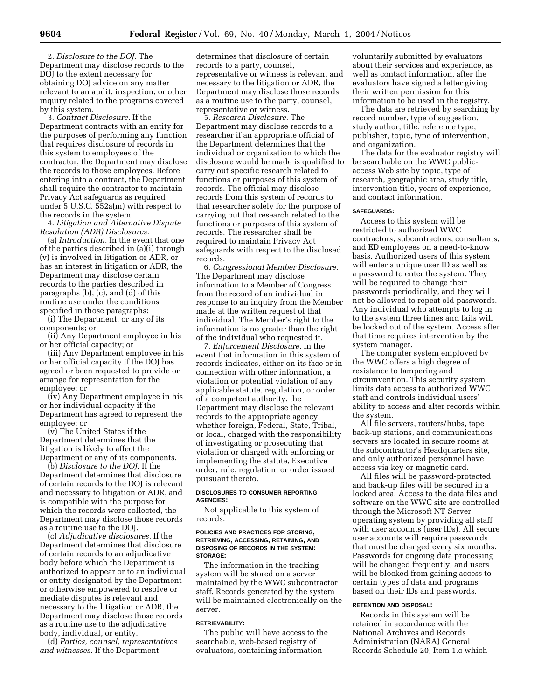2. *Disclosure to the DOJ.* The Department may disclose records to the DOJ to the extent necessary for obtaining DOJ advice on any matter relevant to an audit, inspection, or other inquiry related to the programs covered by this system.

3. *Contract Disclosure.* If the Department contracts with an entity for the purposes of performing any function that requires disclosure of records in this system to employees of the contractor, the Department may disclose the records to those employees. Before entering into a contract, the Department shall require the contractor to maintain Privacy Act safeguards as required under 5 U.S.C. 552a(m) with respect to the records in the system.

4. *Litigation and Alternative Dispute Resolution (ADR) Disclosures.* 

(a) *Introduction.* In the event that one of the parties described in (a)(i) through (v) is involved in litigation or ADR, or has an interest in litigation or ADR, the Department may disclose certain records to the parties described in paragraphs (b), (c), and (d) of this routine use under the conditions specified in those paragraphs:

(i) The Department, or any of its components; or

(ii) Any Department employee in his or her official capacity; or

(iii) Any Department employee in his or her official capacity if the DOJ has agreed or been requested to provide or arrange for representation for the employee; or

(iv) Any Department employee in his or her individual capacity if the Department has agreed to represent the employee; or

(v) The United States if the Department determines that the litigation is likely to affect the Department or any of its components.

(b) *Disclosure to the DOJ.* If the Department determines that disclosure of certain records to the DOJ is relevant and necessary to litigation or ADR, and is compatible with the purpose for which the records were collected, the Department may disclose those records as a routine use to the DOJ.

(c) *Adjudicative disclosures.* If the Department determines that disclosure of certain records to an adjudicative body before which the Department is authorized to appear or to an individual or entity designated by the Department or otherwise empowered to resolve or mediate disputes is relevant and necessary to the litigation or ADR, the Department may disclose those records as a routine use to the adjudicative body, individual, or entity.

(d) *Parties, counsel, representatives and witnesses.* If the Department

determines that disclosure of certain records to a party, counsel, representative or witness is relevant and necessary to the litigation or ADR, the Department may disclose those records as a routine use to the party, counsel, representative or witness.

5. *Research Disclosure.* The Department may disclose records to a researcher if an appropriate official of the Department determines that the individual or organization to which the disclosure would be made is qualified to carry out specific research related to functions or purposes of this system of records. The official may disclose records from this system of records to that researcher solely for the purpose of carrying out that research related to the functions or purposes of this system of records. The researcher shall be required to maintain Privacy Act safeguards with respect to the disclosed records.

6. *Congressional Member Disclosure.*  The Department may disclose information to a Member of Congress from the record of an individual in response to an inquiry from the Member made at the written request of that individual. The Member's right to the information is no greater than the right of the individual who requested it.

7. *Enforcement Disclosure.* In the event that information in this system of records indicates, either on its face or in connection with other information, a violation or potential violation of any applicable statute, regulation, or order of a competent authority, the Department may disclose the relevant records to the appropriate agency, whether foreign, Federal, State, Tribal, or local, charged with the responsibility of investigating or prosecuting that violation or charged with enforcing or implementing the statute, Executive order, rule, regulation, or order issued pursuant thereto.

### **DISCLOSURES TO CONSUMER REPORTING AGENCIES:**

Not applicable to this system of records.

#### **POLICIES AND PRACTICES FOR STORING, RETRIEVING, ACCESSING, RETAINING, AND DISPOSING OF RECORDS IN THE SYSTEM: STORAGE:**

The information in the tracking system will be stored on a server maintained by the WWC subcontractor staff. Records generated by the system will be maintained electronically on the server.

### **RETRIEVABILITY:**

The public will have access to the searchable, web-based registry of evaluators, containing information

voluntarily submitted by evaluators about their services and experience, as well as contact information, after the evaluators have signed a letter giving their written permission for this information to be used in the registry.

The data are retrieved by searching by record number, type of suggestion, study author, title, reference type, publisher, topic, type of intervention, and organization.

The data for the evaluator registry will be searchable on the WWC publicaccess Web site by topic, type of research, geographic area, study title, intervention title, years of experience, and contact information.

#### **SAFEGUARDS:**

Access to this system will be restricted to authorized WWC contractors, subcontractors, consultants, and ED employees on a need-to-know basis. Authorized users of this system will enter a unique user ID as well as a password to enter the system. They will be required to change their passwords periodically, and they will not be allowed to repeat old passwords. Any individual who attempts to log in to the system three times and fails will be locked out of the system. Access after that time requires intervention by the system manager.

The computer system employed by the WWC offers a high degree of resistance to tampering and circumvention. This security system limits data access to authorized WWC staff and controls individual users' ability to access and alter records within the system.

All file servers, routers/hubs, tape back-up stations, and communications servers are located in secure rooms at the subcontractor's Headquarters site, and only authorized personnel have access via key or magnetic card.

All files will be password-protected and back-up files will be secured in a locked area. Access to the data files and software on the WWC site are controlled through the Microsoft NT Server operating system by providing all staff with user accounts (user IDs). All secure user accounts will require passwords that must be changed every six months. Passwords for ongoing data processing will be changed frequently, and users will be blocked from gaining access to certain types of data and programs based on their IDs and passwords.

#### **RETENTION AND DISPOSAL:**

Records in this system will be retained in accordance with the National Archives and Records Administration (NARA) General Records Schedule 20, Item 1.c which